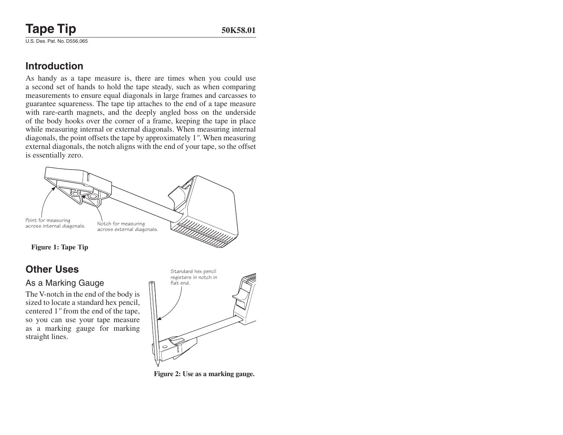# **Tape Tip** 50K58.01

U.S. Des. Pat. No. D556,065

### **Introduction**

As handy as a tape measure is, there are times when you could use a second set of hands to hold the tape steady, such as when comparing measurements to ensure equal diagonals in large frames and carcasses to guarantee squareness. The tape tip attaches to the end of a tape measure with rare-earth magnets, and the deeply angled boss on the underside of the body hooks over the corner of a frame, keeping the tape in place while measuring internal or external diagonals. When measuring internal diagonals, the point offsets the tape by approximately 1*"*. When measuring external diagonals, the notch aligns with the end of your tape, so the offset is essentially zero.



## **Other Uses**

#### As a Marking Gauge

The V-notch in the end of the body is sized to locate a standard hex pencil, centered 1*"* from the end of the tape, so you can use your tape measure as a marking gauge for marking straight lines.



**Figure 2: Use as a marking gauge.**